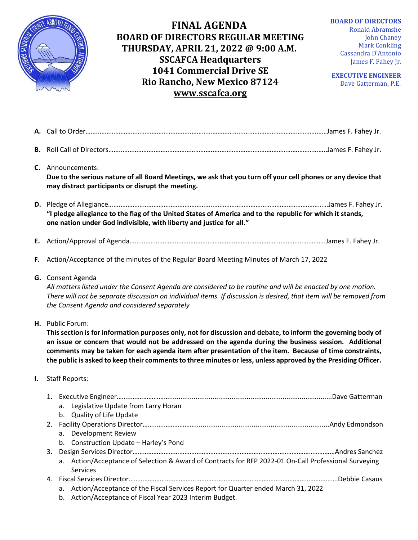

## **FINAL AGENDA BOARD OF DIRECTORS REGULAR MEETING THURSDAY, APRIL 21, 2022 @ 9:00 A.M. SSCAFCA Headquarters 1041 Commercial Drive SE Rio Rancho, New Mexico 87124 [www.sscafca.org](http://www.sscafca.org/)**

**BOARD OF DIRECTORS** Ronald Abramshe John Chaney Mark Conkling Cassandra D'Antonio James F. Fahey Jr.

**EXECUTIVE ENGINEER** Dave Gatterman, P.E*.*

| В. |                                                                                                                                                                                                                                                                                                                                    |  |
|----|------------------------------------------------------------------------------------------------------------------------------------------------------------------------------------------------------------------------------------------------------------------------------------------------------------------------------------|--|
|    | C. Announcements:<br>Due to the serious nature of all Board Meetings, we ask that you turn off your cell phones or any device that<br>may distract participants or disrupt the meeting.                                                                                                                                            |  |
|    | "I pledge allegiance to the flag of the United States of America and to the republic for which it stands,<br>one nation under God indivisible, with liberty and justice for all."                                                                                                                                                  |  |
|    |                                                                                                                                                                                                                                                                                                                                    |  |
| F. | Action/Acceptance of the minutes of the Regular Board Meeting Minutes of March 17, 2022                                                                                                                                                                                                                                            |  |
|    | G. Consent Agenda<br>All matters listed under the Consent Agenda are considered to be routine and will be enacted by one motion.<br>There will not be separate discussion on individual items. If discussion is desired, that item will be removed from<br>the Consent Agenda and considered separately                            |  |
|    | H. Public Forum:<br>This section is for information purposes only, not for discussion and debate, to inform the governing body of                                                                                                                                                                                                  |  |
|    | an issue or concern that would not be addressed on the agenda during the business session. Additional<br>comments may be taken for each agenda item after presentation of the item. Because of time constraints,<br>the public is asked to keep their comments to three minutes or less, unless approved by the Presiding Officer. |  |
| I. | <b>Staff Reports:</b>                                                                                                                                                                                                                                                                                                              |  |
|    | a. Legislative Update from Larry Horan                                                                                                                                                                                                                                                                                             |  |
|    | b. Quality of Life Update<br>Development Review<br>а.                                                                                                                                                                                                                                                                              |  |
|    | Construction Update - Harley's Pond<br>b.<br>3.<br>a. Action/Acceptance of Selection & Award of Contracts for RFP 2022-01 On-Call Professional Surveying<br><b>Services</b>                                                                                                                                                        |  |

b. Action/Acceptance of Fiscal Year 2023 Interim Budget.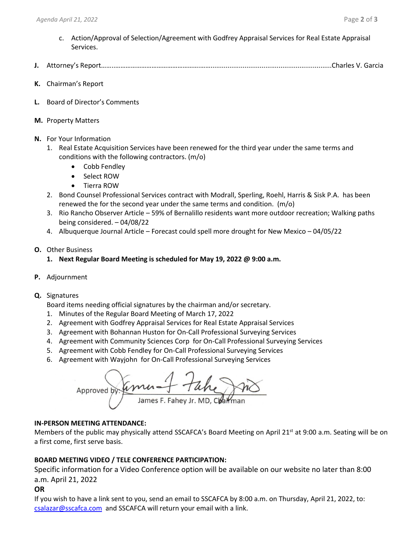- c. Action/Approval of Selection/Agreement with Godfrey Appraisal Services for Real Estate Appraisal Services.
- **J.** Attorney's Report……..………………………………………….……................................................................Charles V. Garcia
- **K.** Chairman's Report
- **L.** Board of Director's Comments
- **M.** Property Matters
- **N.** For Your Information
	- 1. Real Estate Acquisition Services have been renewed for the third year under the same terms and conditions with the following contractors. (m/o)
		- Cobb Fendley
		- Select ROW
		- Tierra ROW
	- 2. Bond Counsel Professional Services contract with Modrall, Sperling, Roehl, Harris & Sisk P.A. has been renewed the for the second year under the same terms and condition. (m/o)
	- 3. Rio Rancho Observer Article 59% of Bernalillo residents want more outdoor recreation; Walking paths being considered. – 04/08/22
	- 4. Albuquerque Journal Article Forecast could spell more drought for New Mexico 04/05/22
- **O.** Other Business
	- **1. Next Regular Board Meeting is scheduled for May 19, 2022 @ 9:00 a.m.**
- **P.** Adjournment
- **Q.** Signatures

Board items needing official signatures by the chairman and/or secretary.

- 1. Minutes of the Regular Board Meeting of March 17, 2022
- 2. Agreement with Godfrey Appraisal Services for Real Estate Appraisal Services
- 3. Agreement with Bohannan Huston for On-Call Professional Surveying Services
- 4. Agreement with Community Sciences Corp for On-Call Professional Surveying Services
- 5. Agreement with Cobb Fendley for On-Call Professional Surveying Services
- 6. Agreement with Wayjohn for On-Call Professional Surveying Services

Approved by: James F. Fahey Jr. MD, Chairman

## **IN-PERSON MEETING ATTENDANCE:**

Members of the public may physically attend SSCAFCA's Board Meeting on April 21<sup>st</sup> at 9:00 a.m. Seating will be on a first come, first serve basis.

## **BOARD MEETING VIDEO / TELE CONFERENCE PARTICIPATION:**

Specific information for a Video Conference option will be available on our website no later than 8:00 a.m. April 21, 2022

## **OR**

If you wish to have a link sent to you, send an email to SSCAFCA by 8:00 a.m. on Thursday, April 21, 2022, to: [csalazar@sscafca.com](mailto:csalazar@sscafca.com) and SSCAFCA will return your email with a link.